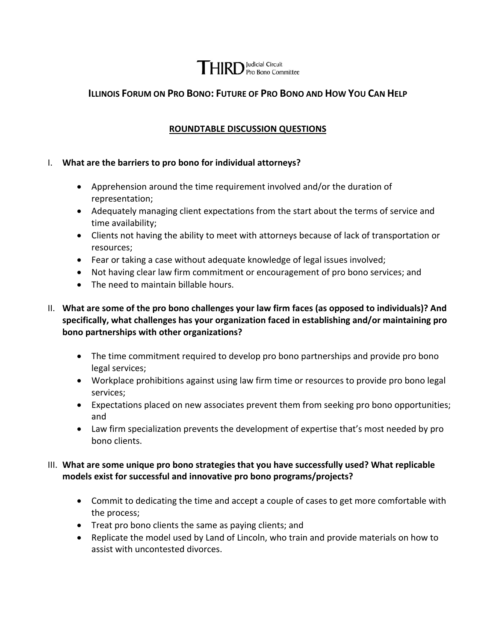# **THIRD** Pro Bono Committee

## **ILLINOIS FORUM ON PRO BONO: FUTURE OF PRO BONO AND HOW YOU CAN HELP**

## **ROUNDTABLE DISCUSSION QUESTIONS**

#### I. **What are the barriers to pro bono for individual attorneys?**

- Apprehension around the time requirement involved and/or the duration of representation;
- Adequately managing client expectations from the start about the terms of service and time availability;
- Clients not having the ability to meet with attorneys because of lack of transportation or resources;
- Fear or taking a case without adequate knowledge of legal issues involved;
- Not having clear law firm commitment or encouragement of pro bono services; and
- The need to maintain billable hours.
- II. **What are some of the pro bono challenges your law firm faces (as opposed to individuals)? And specifically, what challenges has your organization faced in establishing and/or maintaining pro bono partnerships with other organizations?**
	- The time commitment required to develop pro bono partnerships and provide pro bono legal services;
	- Workplace prohibitions against using law firm time or resources to provide pro bono legal services;
	- Expectations placed on new associates prevent them from seeking pro bono opportunities; and
	- Law firm specialization prevents the development of expertise that's most needed by pro bono clients.

#### III. **What are some unique pro bono strategies that you have successfully used? What replicable models exist for successful and innovative pro bono programs/projects?**

- Commit to dedicating the time and accept a couple of cases to get more comfortable with the process;
- Treat pro bono clients the same as paying clients; and
- Replicate the model used by Land of Lincoln, who train and provide materials on how to assist with uncontested divorces.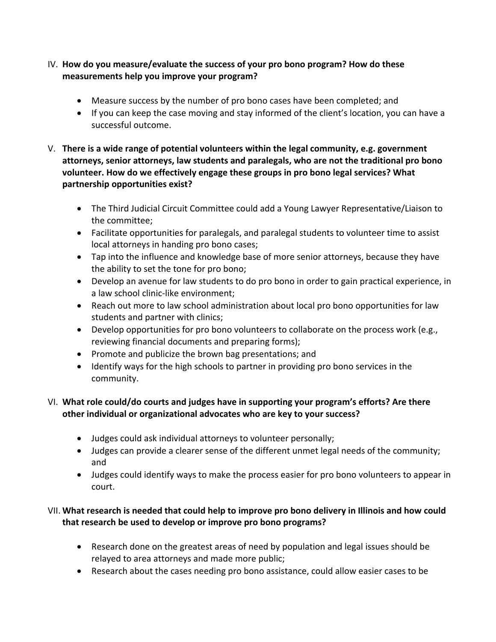- IV. **How do you measure/evaluate the success of your pro bono program? How do these measurements help you improve your program?**
	- Measure success by the number of pro bono cases have been completed; and
	- If you can keep the case moving and stay informed of the client's location, you can have a successful outcome.
- V. **There is a wide range of potential volunteers within the legal community, e.g. government attorneys, senior attorneys, law students and paralegals, who are not the traditional pro bono volunteer. How do we effectively engage these groups in pro bono legal services? What partnership opportunities exist?**
	- The Third Judicial Circuit Committee could add a Young Lawyer Representative/Liaison to the committee;
	- Facilitate opportunities for paralegals, and paralegal students to volunteer time to assist local attorneys in handing pro bono cases;
	- Tap into the influence and knowledge base of more senior attorneys, because they have the ability to set the tone for pro bono;
	- Develop an avenue for law students to do pro bono in order to gain practical experience, in a law school clinic‐like environment;
	- Reach out more to law school administration about local pro bono opportunities for law students and partner with clinics;
	- Develop opportunities for pro bono volunteers to collaborate on the process work (e.g., reviewing financial documents and preparing forms);
	- Promote and publicize the brown bag presentations; and
	- Identify ways for the high schools to partner in providing pro bono services in the community.

## VI. **What role could/do courts and judges have in supporting your program's efforts? Are there other individual or organizational advocates who are key to your success?**

- Judges could ask individual attorneys to volunteer personally;
- Judges can provide a clearer sense of the different unmet legal needs of the community; and
- Judges could identify ways to make the process easier for pro bono volunteers to appear in court.

## VII. **What research is needed that could help to improve pro bono delivery in Illinois and how could that research be used to develop or improve pro bono programs?**

- Research done on the greatest areas of need by population and legal issues should be relayed to area attorneys and made more public;
- Research about the cases needing pro bono assistance, could allow easier cases to be